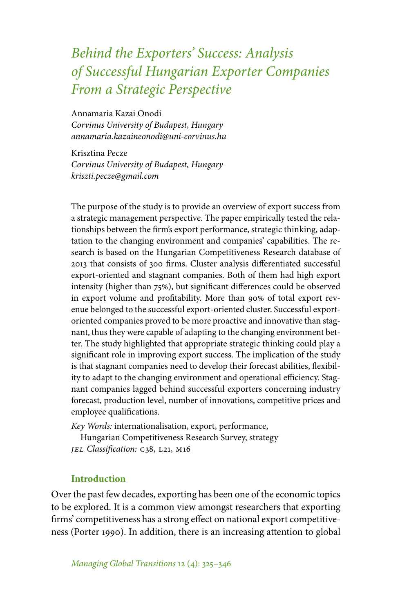# *Behind the Exporters' Success: Analysis of Successful Hungarian Exporter Companies From a Strategic Perspective*

Annamaria Kazai Onodi *Corvinus University of Budapest, Hungary annamaria.kazaineonodi@uni-corvinus.hu*

Krisztina Pecze *Corvinus University of Budapest, Hungary kriszti.pecze@gmail.com*

The purpose of the study is to provide an overview of export success from a strategic management perspective. The paper empirically tested the relationships between the firm's export performance, strategic thinking, adaptation to the changing environment and companies' capabilities. The research is based on the Hungarian Competitiveness Research database of 2013 that consists of 300 firms. Cluster analysis differentiated successful export-oriented and stagnant companies. Both of them had high export intensity (higher than  $75\%$ ), but significant differences could be observed in export volume and profitability. More than 90% of total export revenue belonged to the successful export-oriented cluster. Successful exportoriented companies proved to be more proactive and innovative than stagnant, thus they were capable of adapting to the changing environment better. The study highlighted that appropriate strategic thinking could play a significant role in improving export success. The implication of the study is that stagnant companies need to develop their forecast abilities, flexibility to adapt to the changing environment and operational efficiency. Stagnant companies lagged behind successful exporters concerning industry forecast, production level, number of innovations, competitive prices and employee qualifications.

*Key Words:* internationalisation, export, performance,

Hungarian Competitiveness Research Survey, strategy *JEL Classification:* C38, L21, M16

# **Introduction**

Over the past few decades, exporting has been one of the economic topics to be explored. It is a common view amongst researchers that exporting firms' competitiveness has a strong effect on national export competitiveness (Porter 1990). In addition, there is an increasing attention to global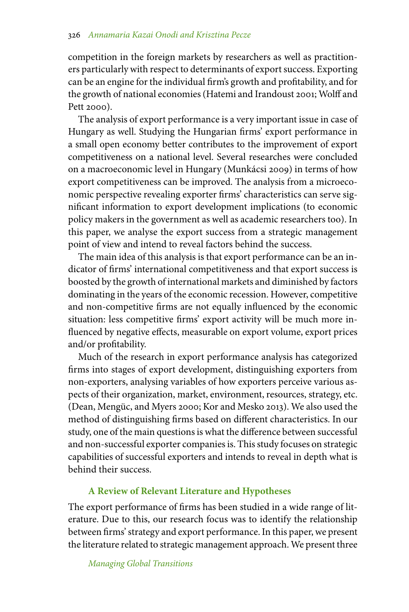competition in the foreign markets by researchers as well as practitioners particularly with respect to determinants of export success. Exporting can be an engine for the individual firm's growth and profitability, and for the growth of national economies (Hatemi and Irandoust 2001; Wolff and Pett 2000).

The analysis of export performance is a very important issue in case of Hungary as well. Studying the Hungarian firms' export performance in a small open economy better contributes to the improvement of export competitiveness on a national level. Several researches were concluded on a macroeconomic level in Hungary (Munkácsi 2009) in terms of how export competitiveness can be improved. The analysis from a microeconomic perspective revealing exporter firms' characteristics can serve significant information to export development implications (to economic policy makers in the government as well as academic researchers too). In this paper, we analyse the export success from a strategic management point of view and intend to reveal factors behind the success.

The main idea of this analysis is that export performance can be an indicator of firms' international competitiveness and that export success is boosted by the growth of international markets and diminished by factors dominating in the years of the economic recession. However, competitive and non-competitive firms are not equally influenced by the economic situation: less competitive firms' export activity will be much more influenced by negative effects, measurable on export volume, export prices and/or profitability.

Much of the research in export performance analysis has categorized firms into stages of export development, distinguishing exporters from non-exporters, analysing variables of how exporters perceive various aspects of their organization, market, environment, resources, strategy, etc. (Dean, Mengüc, and Myers 2000; Kor and Mesko 2013). We also used the method of distinguishing firms based on different characteristics. In our study, one of the main questions is what the difference between successful and non-successful exporter companies is. This study focuses on strategic capabilities of successful exporters and intends to reveal in depth what is behind their success.

# **A Review of Relevant Literature and Hypotheses**

The export performance of firms has been studied in a wide range of literature. Due to this, our research focus was to identify the relationship between firms' strategy and export performance. In this paper, we present the literature related to strategic management approach. We present three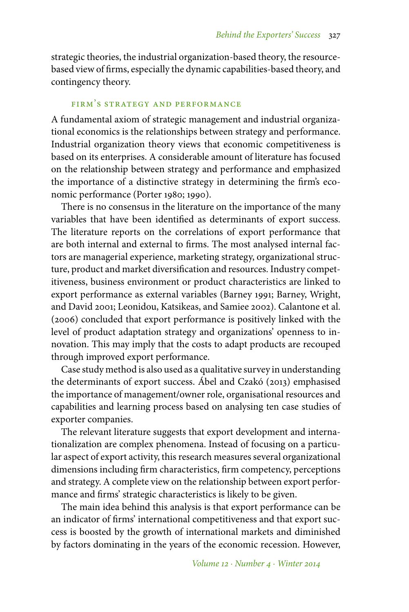strategic theories, the industrial organization-based theory, the resourcebased view of firms, especially the dynamic capabilities-based theory, and contingency theory.

#### firm's strategy and performance

A fundamental axiom of strategic management and industrial organizational economics is the relationships between strategy and performance. Industrial organization theory views that economic competitiveness is based on its enterprises. A considerable amount of literature has focused on the relationship between strategy and performance and emphasized the importance of a distinctive strategy in determining the firm's economic performance (Porter 1980; 1990).

There is no consensus in the literature on the importance of the many variables that have been identified as determinants of export success. The literature reports on the correlations of export performance that are both internal and external to firms. The most analysed internal factors are managerial experience, marketing strategy, organizational structure, product and market diversification and resources. Industry competitiveness, business environment or product characteristics are linked to export performance as external variables (Barney 1991; Barney, Wright, and David 2001; Leonidou, Katsikeas, and Samiee 2002). Calantone et al. (2006) concluded that export performance is positively linked with the level of product adaptation strategy and organizations' openness to innovation. This may imply that the costs to adapt products are recouped through improved export performance.

Case study method is also used as a qualitative survey in understanding the determinants of export success. Ábel and Czakó (2013) emphasised the importance of management/owner role, organisational resources and capabilities and learning process based on analysing ten case studies of exporter companies.

The relevant literature suggests that export development and internationalization are complex phenomena. Instead of focusing on a particular aspect of export activity, this research measures several organizational dimensions including firm characteristics, firm competency, perceptions and strategy. A complete view on the relationship between export performance and firms' strategic characteristics is likely to be given.

The main idea behind this analysis is that export performance can be an indicator of firms' international competitiveness and that export success is boosted by the growth of international markets and diminished by factors dominating in the years of the economic recession. However,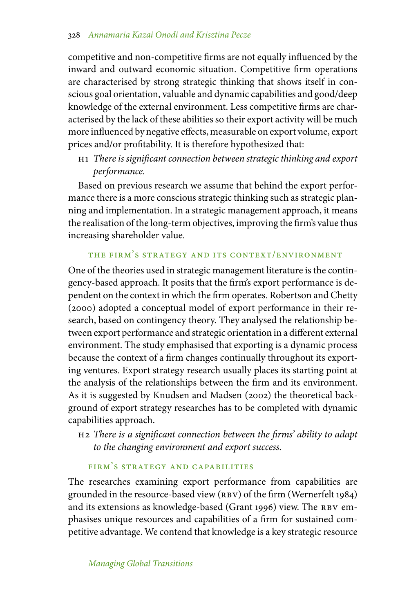competitive and non-competitive firms are not equally influenced by the inward and outward economic situation. Competitive firm operations are characterised by strong strategic thinking that shows itself in conscious goal orientation, valuable and dynamic capabilities and good/deep knowledge of the external environment. Less competitive firms are characterised by the lack of these abilities so their export activity will be much more influenced by negative effects, measurable on export volume, export prices and/or profitability. It is therefore hypothesized that:

h1 *There is significant connection between strategic thinking and export performance.*

Based on previous research we assume that behind the export performance there is a more conscious strategic thinking such as strategic planning and implementation. In a strategic management approach, it means the realisation of the long-term objectives, improving the firm's value thus increasing shareholder value.

# the firm's strategy and its context/environment

One of the theories used in strategic management literature is the contingency-based approach. It posits that the firm's export performance is dependent on the context in which the firm operates. Robertson and Chetty (2000) adopted a conceptual model of export performance in their research, based on contingency theory. They analysed the relationship between export performance and strategic orientation in a different external environment. The study emphasised that exporting is a dynamic process because the context of a firm changes continually throughout its exporting ventures. Export strategy research usually places its starting point at the analysis of the relationships between the firm and its environment. As it is suggested by Knudsen and Madsen (2002) the theoretical background of export strategy researches has to be completed with dynamic capabilities approach.

h2 *There is a significant connection between the firms' ability to adapt to the changing environment and export success.*

# firm's strategy and capabilities

The researches examining export performance from capabilities are grounded in the resource-based view (RBV) of the firm (Wernerfelt 1984) and its extensions as knowledge-based (Grant 1996) view. The RBV emphasises unique resources and capabilities of a firm for sustained competitive advantage. We contend that knowledge is a key strategic resource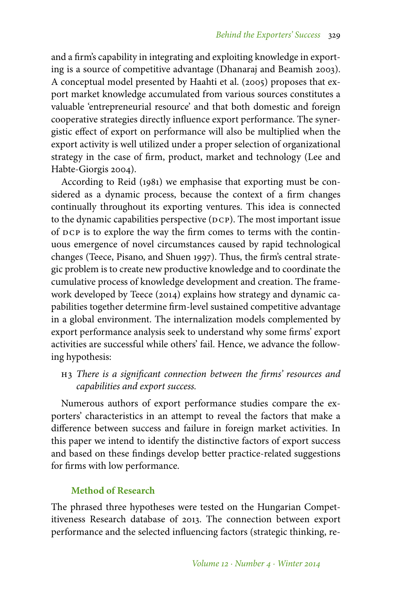and a firm's capability in integrating and exploiting knowledge in exporting is a source of competitive advantage (Dhanaraj and Beamish 2003). A conceptual model presented by Haahti et al. (2005) proposes that export market knowledge accumulated from various sources constitutes a valuable 'entrepreneurial resource' and that both domestic and foreign cooperative strategies directly influence export performance. The synergistic effect of export on performance will also be multiplied when the export activity is well utilized under a proper selection of organizational strategy in the case of firm, product, market and technology (Lee and Habte-Giorgis 2004).

According to Reid (1981) we emphasise that exporting must be considered as a dynamic process, because the context of a firm changes continually throughout its exporting ventures. This idea is connected to the dynamic capabilities perspective  $(DCP)$ . The most important issue of DCP is to explore the way the firm comes to terms with the continuous emergence of novel circumstances caused by rapid technological changes (Teece, Pisano, and Shuen 1997). Thus, the firm's central strategic problem is to create new productive knowledge and to coordinate the cumulative process of knowledge development and creation. The framework developed by Teece (2014) explains how strategy and dynamic capabilities together determine firm-level sustained competitive advantage in a global environment. The internalization models complemented by export performance analysis seek to understand why some firms' export activities are successful while others' fail. Hence, we advance the following hypothesis:

# h3 *There is a significant connection between the firms' resources and capabilities and export success.*

Numerous authors of export performance studies compare the exporters' characteristics in an attempt to reveal the factors that make a difference between success and failure in foreign market activities. In this paper we intend to identify the distinctive factors of export success and based on these findings develop better practice-related suggestions for firms with low performance.

# **Method of Research**

The phrased three hypotheses were tested on the Hungarian Competitiveness Research database of 2013. The connection between export performance and the selected influencing factors (strategic thinking, re-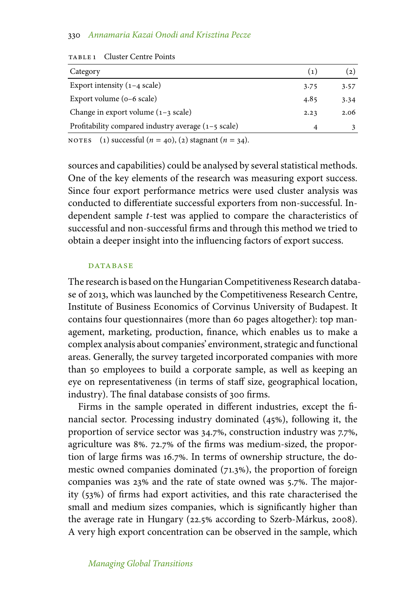| Category                                                        | (1)  | (2)  |
|-----------------------------------------------------------------|------|------|
| Export intensity $(1-4 \text{ scale})$                          | 3.75 | 3.57 |
| Export volume $(o-6 \text{ scale})$                             | 4.85 | 3.34 |
| Change in export volume $(1-3 \text{ scale})$                   | 2.23 | 2.06 |
| Profitability compared industry average $(1 - 5 \text{ scale})$ | 4    |      |
|                                                                 |      |      |

TABLE 1 Cluster Centre Points

NOTES (1) successful  $(n = 40)$ , (2) stagnant  $(n = 34)$ .

sources and capabilities) could be analysed by several statistical methods. One of the key elements of the research was measuring export success. Since four export performance metrics were used cluster analysis was conducted to differentiate successful exporters from non-successful. Independent sample *t*-test was applied to compare the characteristics of successful and non-successful firms and through this method we tried to obtain a deeper insight into the influencing factors of export success.

#### **DATABASE**

The research is based on the Hungarian Competitiveness Research database of 2013, which was launched by the Competitiveness Research Centre, Institute of Business Economics of Corvinus University of Budapest. It contains four questionnaires (more than 60 pages altogether): top management, marketing, production, finance, which enables us to make a complex analysis about companies' environment, strategic and functional areas. Generally, the survey targeted incorporated companies with more than 50 employees to build a corporate sample, as well as keeping an eye on representativeness (in terms of staff size, geographical location, industry). The final database consists of 300 firms.

Firms in the sample operated in different industries, except the financial sector. Processing industry dominated  $(45%)$ , following it, the proportion of service sector was 34.7%, construction industry was 7.7%, agriculture was 8%. 72.7% of the firms was medium-sized, the proportion of large firms was 16.7%. In terms of ownership structure, the domestic owned companies dominated  $(71.3%)$ , the proportion of foreign companies was 23% and the rate of state owned was 5.7%. The majority (53%) of firms had export activities, and this rate characterised the small and medium sizes companies, which is significantly higher than the average rate in Hungary (22.5% according to Szerb-Márkus, 2008). A very high export concentration can be observed in the sample, which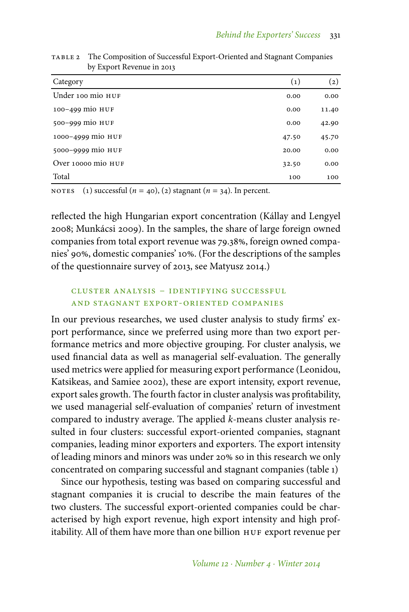| Category           | $\left( 1\right)$ | (2)   |
|--------------------|-------------------|-------|
| Under 100 mio HUF  | 0.00              | 0.00  |
| 100-499 mio HUF    | 0.00              | 11.40 |
| 500-999 mio HUF    | 0.00              | 42.90 |
| 1000-4999 mio HUF  | 47.50             | 45.70 |
| 5000-9999 mio HUF  | 20.00             | 0.00  |
| Over 10000 mio HUF | 32.50             | 0.00  |
| Total              | 100               | 100   |

table 2 The Composition of Successful Export-Oriented and Stagnant Companies by Export Revenue in 2013

NOTES (1) successful  $(n = 40)$ , (2) stagnant  $(n = 34)$ . In percent.

reflected the high Hungarian export concentration (Kállay and Lengyel 2008; Munkácsi 2009). In the samples, the share of large foreign owned companies from total export revenue was 79.38%, foreign owned companies' 90%, domestic companies' 10%. (For the descriptions of the samples of the questionnaire survey of 2013, see Matyusz 2014.)

# cluster analysis – identifying successful and stagnant export-oriented companies

In our previous researches, we used cluster analysis to study firms' export performance, since we preferred using more than two export performance metrics and more objective grouping. For cluster analysis, we used financial data as well as managerial self-evaluation. The generally used metrics were applied for measuring export performance (Leonidou, Katsikeas, and Samiee 2002), these are export intensity, export revenue, export sales growth. The fourth factor in cluster analysis was profitability, we used managerial self-evaluation of companies' return of investment compared to industry average. The applied *k*-means cluster analysis resulted in four clusters: successful export-oriented companies, stagnant companies, leading minor exporters and exporters. The export intensity of leading minors and minors was under 20% so in this research we only concentrated on comparing successful and stagnant companies (table 1)

Since our hypothesis, testing was based on comparing successful and stagnant companies it is crucial to describe the main features of the two clusters. The successful export-oriented companies could be characterised by high export revenue, high export intensity and high profitability. All of them have more than one billion HUF export revenue per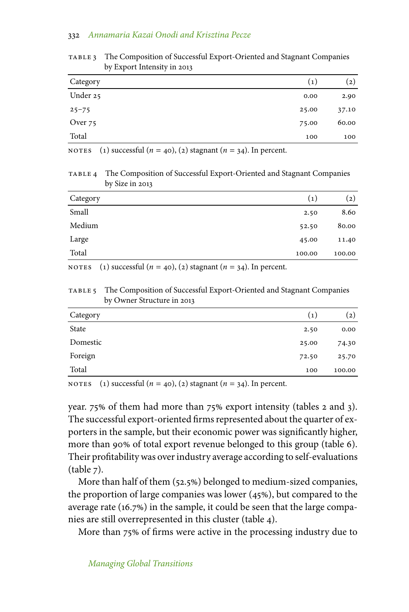| Category  | (1)   | $\left( 2\right)$ |
|-----------|-------|-------------------|
| Under 25  | 0.00  | 2.90              |
| $25 - 75$ | 25.00 | 37.10             |
| Over 75   | 75.00 | 60.00             |
| Total     | 100   | 100               |
|           |       |                   |

table 3 The Composition of Successful Export-Oriented and Stagnant Companies by Export Intensity in 2013

NOTES (1) successful  $(n = 40)$ , (2) stagnant  $(n = 34)$ . In percent.

table 4 The Composition of Successful Export-Oriented and Stagnant Companies by Size in 2013

| Category | $\left( 1 \right)$ | $\left( 2\right)$ |
|----------|--------------------|-------------------|
| Small    | 2.50               | 8.60              |
| Medium   | 52.50              | 80.00             |
| Large    | 45.00              | 11.40             |
| Total    | 100.00             | 100.00            |

NOTES (1) successful  $(n = 40)$ , (2) stagnant  $(n = 34)$ . In percent.

table 5 The Composition of Successful Export-Oriented and Stagnant Companies by Owner Structure in 2013

| Category | (1)   | (2)    |
|----------|-------|--------|
| State    | 2.50  | 0.00   |
| Domestic | 25.00 | 74.30  |
| Foreign  | 72.50 | 25.70  |
| Total    | 100   | 100.00 |

NOTES (1) successful  $(n = 40)$ , (2) stagnant  $(n = 34)$ . In percent.

year.  $75\%$  of them had more than  $75\%$  export intensity (tables 2 and 3). The successful export-oriented firms represented about the quarter of exporters in the sample, but their economic power was significantly higher, more than 90% of total export revenue belonged to this group (table 6). Their profitability was over industry average according to self-evaluations  $(table 7)$ .

More than half of them (52.5%) belonged to medium-sized companies, the proportion of large companies was lower  $(45%)$ , but compared to the average rate (16.7%) in the sample, it could be seen that the large companies are still overrepresented in this cluster (table 4).

More than 75% of firms were active in the processing industry due to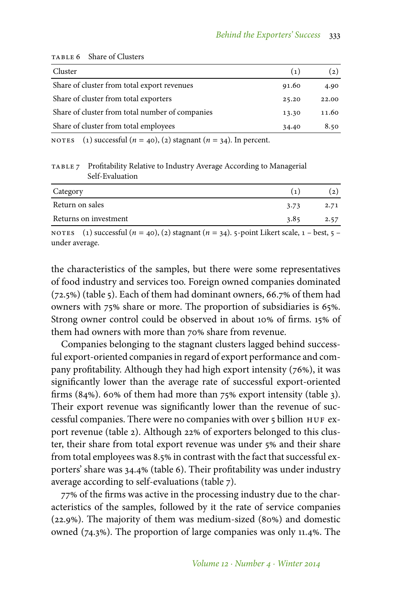| Cluster                                         | (1)   | (2)   |
|-------------------------------------------------|-------|-------|
| Share of cluster from total export revenues     | 91.60 | 4.90  |
| Share of cluster from total exporters           | 25.20 | 22.00 |
| Share of cluster from total number of companies | 13.30 | 11.60 |
| Share of cluster from total employees           | 34.40 | 8.50  |
|                                                 |       |       |

#### TABLE 6 Share of Clusters

NOTES (1) successful  $(n = 40)$ , (2) stagnant  $(n = 34)$ . In percent.

table 7 Profitability Relative to Industry Average According to Managerial Self-Evaluation

| Category              |      |      |
|-----------------------|------|------|
| Return on sales       | 3.73 | 2.71 |
| Returns on investment | 3.85 | 2.57 |
|                       |      |      |

NOTES (1) successful  $(n = 40)$ , (2) stagnant  $(n = 34)$ . 5-point Likert scale,  $1 - \text{best}$ ,  $5$ under average.

the characteristics of the samples, but there were some representatives of food industry and services too. Foreign owned companies dominated  $(72.5%)$  (table 5). Each of them had dominant owners, 66.7% of them had owners with 75% share or more. The proportion of subsidiaries is 65%. Strong owner control could be observed in about 10% of firms. 15% of them had owners with more than 70% share from revenue.

Companies belonging to the stagnant clusters lagged behind successful export-oriented companies in regard of export performance and company profitability. Although they had high export intensity  $(76%)$ , it was significantly lower than the average rate of successful export-oriented firms  $(84%)$ . 60% of them had more than 75% export intensity (table 3). Their export revenue was significantly lower than the revenue of successful companies. There were no companies with over 5 billion HUF export revenue (table 2). Although 22% of exporters belonged to this cluster, their share from total export revenue was under 5% and their share from total employees was 8.5% in contrast with the fact that successful exporters' share was 34.4% (table 6). Their profitability was under industry average according to self-evaluations (table 7).

77% of the firms was active in the processing industry due to the characteristics of the samples, followed by it the rate of service companies (22.9%). The majority of them was medium-sized (80%) and domestic owned  $(74.3%)$ . The proportion of large companies was only 11.4%. The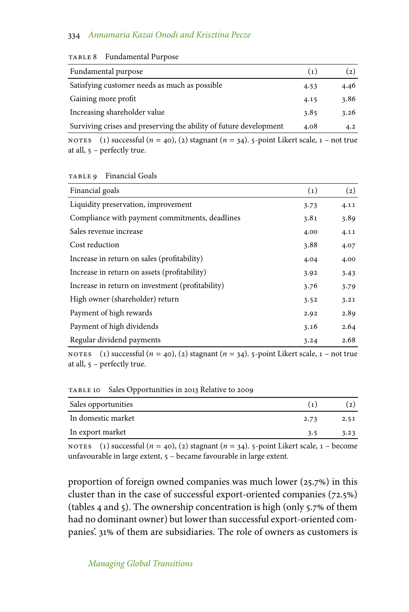| Fundamental purpose                                               | (1)  | (2)  |
|-------------------------------------------------------------------|------|------|
| Satisfying customer needs as much as possible                     | 4.53 | 4.46 |
| Gaining more profit                                               | 4.15 | 3.86 |
| Increasing shareholder value                                      | 3.85 | 3.26 |
| Surviving crises and preserving the ability of future development | 4.08 | 4.2  |

| TABLE 8 | <b>Fundamental Purpose</b> |  |
|---------|----------------------------|--|
|---------|----------------------------|--|

NOTES (1) successful  $(n = 40)$ , (2) stagnant  $(n = 34)$ . 5-point Likert scale,  $1 - not$  true at all, – perfectly true.

| TABLE 9 | <b>Financial Goals</b> |
|---------|------------------------|
|---------|------------------------|

| Financial goals                                  | $\left( 1\right)$ | $\left( 2\right)$ |
|--------------------------------------------------|-------------------|-------------------|
| Liquidity preservation, improvement              | 3.73              | 4.11              |
| Compliance with payment commitments, deadlines   | 3.81              | 3.89              |
| Sales revenue increase                           | 4.00              | 4.11              |
| Cost reduction                                   | 3.88              | 4.07              |
| Increase in return on sales (profitability)      | 4.04              | 4.00              |
| Increase in return on assets (profitability)     | 3.92              | 3.43              |
| Increase in return on investment (profitability) | 3.76              | 3.79              |
| High owner (shareholder) return                  | 3.52              | 3.21              |
| Payment of high rewards                          | 2.92              | 2.89              |
| Payment of high dividends                        | 3.16              | 2.64              |
| Regular dividend payments                        | 3.24              | 2.68              |

NOTES (1) successful  $(n = 40)$ , (2) stagnant  $(n = 34)$ . 5-point Likert scale,  $1 - not$  true at all, – perfectly true.

table 10 Sales Opportunities in 2013 Relative to 2009

| Sales opportunities | $\epsilon_{11}$ |      |
|---------------------|-----------------|------|
| In domestic market  | 2.73            | 2.51 |
| In export market    | 3.5             | 3.23 |

NOTES (1) successful  $(n = 40)$ , (2) stagnant  $(n = 34)$ . 5-point Likert scale,  $1 -$  become unfavourable in large extent, – became favourable in large extent.

proportion of foreign owned companies was much lower  $(25.7%)$  in this cluster than in the case of successful export-oriented companies (72.5%) (tables 4 and 5). The ownership concentration is high (only 5.7 of them had no dominant owner) but lower than successful export-oriented companies'. 31% of them are subsidiaries. The role of owners as customers is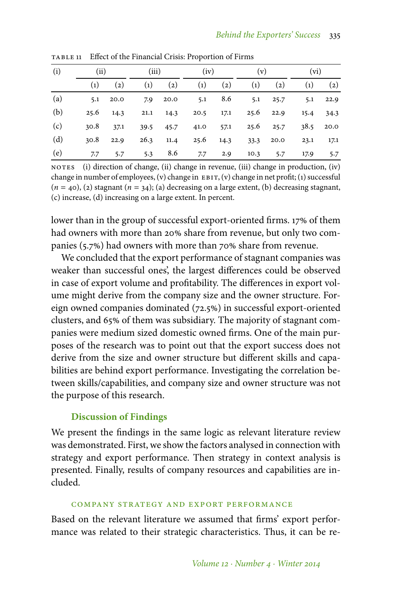| (i) |      | (ii)              |                   | (iii)             |                   | (iv)              |                   | (v)               |                   | $(v_i)$           |  |
|-----|------|-------------------|-------------------|-------------------|-------------------|-------------------|-------------------|-------------------|-------------------|-------------------|--|
|     | (1)  | $\left( 2\right)$ | $\left( 1\right)$ | $\left( 2\right)$ | $\left( 1\right)$ | $\left( 2\right)$ | $\left( 1\right)$ | $\left( 2\right)$ | $\left( 1\right)$ | $\left( 2\right)$ |  |
| (a) | 5.1  | 20.0              |                   | 7.9 20.0          |                   | 5.1 8.6           |                   | $5.1 \qquad 25.7$ |                   | $5.1 \qquad 22.9$ |  |
| (b) |      | $25.6$ 14.3       |                   | $21.1 \t14.3$     |                   | $20.5$ 17.1       |                   | $25.6$ 22.9       | 15.4              | 34.3              |  |
| (c) | 30.8 | 37.1              |                   | 39.5 45.7         | 41.0              | 57.1              |                   | 25.6 25.7         |                   | $38.5$ 20.0       |  |
| (d) | 30.8 | 22.9              |                   | $26.3$ 11.4       |                   | 25.6 14.3         |                   | 33.3 20.0         | 23.1              | 17.1              |  |
| (e) | 7.7  | 5.7               | 5.3               | 8.6               | 7.7               | 2.9               | 10.3              | 5.7               | 17.9              | 5.7               |  |

table 11 Effect of the Financial Crisis: Proportion of Firms

NOTES (i) direction of change, (ii) change in revenue, (iii) change in production, (iv) change in number of employees, (v) change in  $EBT$ , (v) change in net profit; (1) successful (*n* = 40), (2) stagnant (*n* = 34); (a) decreasing on a large extent, (b) decreasing stagnant, (c) increase, (d) increasing on a large extent. In percent.

lower than in the group of successful export-oriented firms. 17% of them had owners with more than 20% share from revenue, but only two companies (5.7%) had owners with more than 70% share from revenue.

We concluded that the export performance of stagnant companies was weaker than successful ones', the largest differences could be observed in case of export volume and profitability. The differences in export volume might derive from the company size and the owner structure. Foreign owned companies dominated (72.5%) in successful export-oriented clusters, and 65% of them was subsidiary. The majority of stagnant companies were medium sized domestic owned firms. One of the main purposes of the research was to point out that the export success does not derive from the size and owner structure but different skills and capabilities are behind export performance. Investigating the correlation between skills/capabilities, and company size and owner structure was not the purpose of this research.

# **Discussion of Findings**

We present the findings in the same logic as relevant literature review was demonstrated. First, we show the factors analysed in connection with strategy and export performance. Then strategy in context analysis is presented. Finally, results of company resources and capabilities are included.

#### company strategy and export performance

Based on the relevant literature we assumed that firms' export performance was related to their strategic characteristics. Thus, it can be re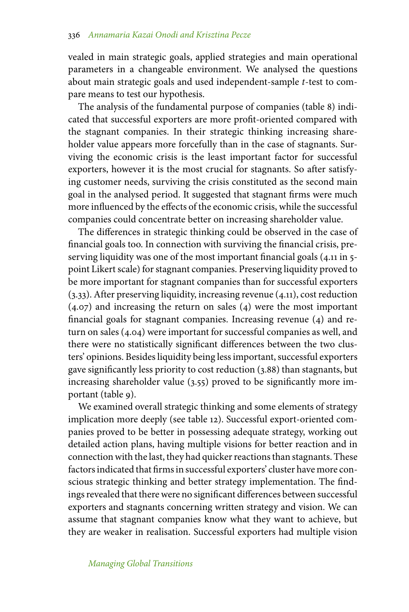vealed in main strategic goals, applied strategies and main operational parameters in a changeable environment. We analysed the questions about main strategic goals and used independent-sample *t*-test to compare means to test our hypothesis.

The analysis of the fundamental purpose of companies (table 8) indicated that successful exporters are more profit-oriented compared with the stagnant companies. In their strategic thinking increasing shareholder value appears more forcefully than in the case of stagnants. Surviving the economic crisis is the least important factor for successful exporters, however it is the most crucial for stagnants. So after satisfying customer needs, surviving the crisis constituted as the second main goal in the analysed period. It suggested that stagnant firms were much more influenced by the effects of the economic crisis, while the successful companies could concentrate better on increasing shareholder value.

The differences in strategic thinking could be observed in the case of financial goals too. In connection with surviving the financial crisis, preserving liquidity was one of the most important financial goals (4.11 in 5 point Likert scale) for stagnant companies. Preserving liquidity proved to be more important for stagnant companies than for successful exporters (3.33). After preserving liquidity, increasing revenue (4.11), cost reduction (4.07) and increasing the return on sales (4) were the most important financial goals for stagnant companies. Increasing revenue (4) and return on sales (4.04) were important for successful companies as well, and there were no statistically significant differences between the two clusters' opinions. Besides liquidity being less important, successful exporters gave significantly less priority to cost reduction (3.88) than stagnants, but increasing shareholder value (3.55) proved to be significantly more important (table 9).

We examined overall strategic thinking and some elements of strategy implication more deeply (see table 12). Successful export-oriented companies proved to be better in possessing adequate strategy, working out detailed action plans, having multiple visions for better reaction and in connection with the last, they had quicker reactions than stagnants. These factors indicated that firms in successful exporters' cluster have more conscious strategic thinking and better strategy implementation. The findings revealed that there were no significant differences between successful exporters and stagnants concerning written strategy and vision. We can assume that stagnant companies know what they want to achieve, but they are weaker in realisation. Successful exporters had multiple vision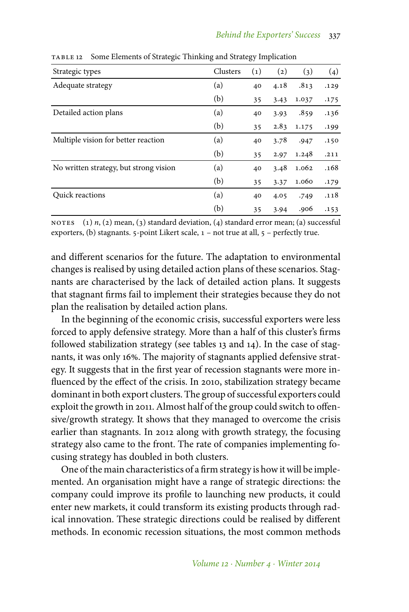| Strategic types                        | Clusters | (1) | $\left( 2\right)$ | (3)   | (4)  |
|----------------------------------------|----------|-----|-------------------|-------|------|
| Adequate strategy                      | (a)      | 40  | 4.18              | .813  | .129 |
|                                        | (b)      | 35  | 3.43              | 1.037 | .175 |
| Detailed action plans                  | (a)      | 40  | 3.93              | .859  | .136 |
|                                        | (b)      | 35  | 2.83              | 1.175 | .199 |
| Multiple vision for better reaction    | (a)      | 40  | 3.78              | .947  | .150 |
|                                        | (b)      | 35  | 2.97              | 1.248 | .211 |
| No written strategy, but strong vision | (a)      | 40  | 3.48              | 1.062 | .168 |
|                                        | (b)      | 35  | 3.37              | 1.060 | .179 |
| Quick reactions                        | (a)      | 40  | 4.05              | .749  | .118 |
|                                        | (b)      | 35  | 3.94              | .906  | .153 |

table 12 Some Elements of Strategic Thinking and Strategy Implication

NOTES (1) *n*, (2) mean, (3) standard deviation, (4) standard error mean; (a) successful exporters, (b) stagnants.  $5$ -point Likert scale,  $1$  – not true at all,  $5$  – perfectly true.

and different scenarios for the future. The adaptation to environmental changes is realised by using detailed action plans of these scenarios. Stagnants are characterised by the lack of detailed action plans. It suggests that stagnant firms fail to implement their strategies because they do not plan the realisation by detailed action plans.

In the beginning of the economic crisis, successful exporters were less forced to apply defensive strategy. More than a half of this cluster's firms followed stabilization strategy (see tables 13 and 14). In the case of stagnants, it was only 16%. The majority of stagnants applied defensive strategy. It suggests that in the first year of recession stagnants were more influenced by the effect of the crisis. In 2010, stabilization strategy became dominant in both export clusters. The group of successful exporters could exploit the growth in 2011. Almost half of the group could switch to offensive/growth strategy. It shows that they managed to overcome the crisis earlier than stagnants. In 2012 along with growth strategy, the focusing strategy also came to the front. The rate of companies implementing focusing strategy has doubled in both clusters.

One of the main characteristics of a firm strategy is how it will be implemented. An organisation might have a range of strategic directions: the company could improve its profile to launching new products, it could enter new markets, it could transform its existing products through radical innovation. These strategic directions could be realised by different methods. In economic recession situations, the most common methods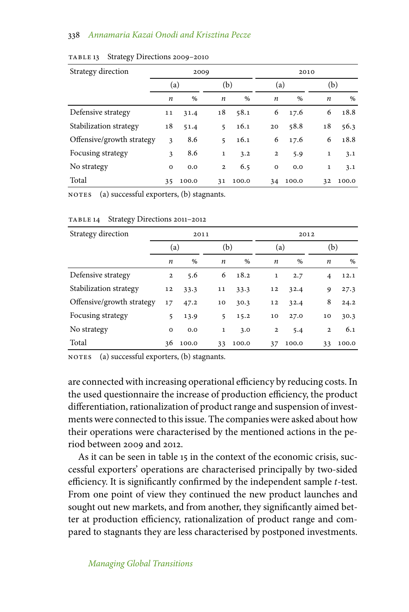| Strategy direction        | 2009        |       |                |       |                |       |              |       | 2010 |  |
|---------------------------|-------------|-------|----------------|-------|----------------|-------|--------------|-------|------|--|
|                           | (a)         |       |                | (b)   |                | (a)   |              | (b)   |      |  |
|                           | n           | $\%$  | n              | $\%$  | n              | $\%$  | n            | $\%$  |      |  |
| Defensive strategy        | 11          | 31.4  | 18             | 58.1  | 6              | 17.6  | 6            | 18.8  |      |  |
| Stabilization strategy    | 18          | 51.4  | 5              | 16.1  | 20             | 58.8  | 18           | 56.3  |      |  |
| Offensive/growth strategy | 3           | 8.6   | 5              | 16.1  | 6              | 17.6  | 6            | 18.8  |      |  |
| Focusing strategy         | 3           | 8.6   | $\mathbf{1}$   | 3.2   | $\overline{2}$ | 5.9   | $\mathbf{1}$ | 3.1   |      |  |
| No strategy               | $\mathbf 0$ | 0.0   | $\overline{2}$ | 6.5   | $\mathbf 0$    | 0.0   | $\mathbf{1}$ | 3.1   |      |  |
| Total                     | 35          | 100.0 | 31             | 100.0 | 34             | 100.0 | 32           | 100.0 |      |  |

#### TABLE 13 Strategy Directions 2009-2010

notes (a) successful exporters, (b) stagnants.

| Strategy direction        | 2011         |       |              |       |                |       | 2012         |       |  |
|---------------------------|--------------|-------|--------------|-------|----------------|-------|--------------|-------|--|
|                           | (a)          |       |              | (b)   |                | (a)   |              | (b)   |  |
|                           | n            | %     | n            | $\%$  | n              | $\%$  | n            | $\%$  |  |
| Defensive strategy        | $\mathbf{2}$ | 5.6   | 6            | 18.2  | $\mathbf{1}$   | 2.7   | 4            | 12.1  |  |
| Stabilization strategy    | 12           | 33.3  | 11           | 33.3  | 12             | 32.4  | 9            | 27.3  |  |
| Offensive/growth strategy | 17           | 47.2  | 10           | 30.3  | 12             | 32.4  | 8            | 24.2  |  |
| Focusing strategy         | 5            | 13.9  | 5            | 15.2  | 10             | 27.0  | 10           | 30.3  |  |
| No strategy               | $\mathbf 0$  | 0.0   | $\mathbf{1}$ | 3.0   | $\overline{2}$ | 5.4   | $\mathbf{2}$ | 6.1   |  |
| Total                     | 36           | 100.0 | 33           | 100.0 | 37             | 100.0 | 33           | 100.0 |  |

TABLE 14 Strategy Directions 2011-2012

NOTES (a) successful exporters, (b) stagnants.

are connected with increasing operational efficiency by reducing costs. In the used questionnaire the increase of production efficiency, the product differentiation, rationalization of product range and suspension of investments were connected to this issue. The companies were asked about how their operations were characterised by the mentioned actions in the period between 2009 and 2012.

As it can be seen in table 15 in the context of the economic crisis, successful exporters' operations are characterised principally by two-sided efficiency. It is significantly confirmed by the independent sample *t*-test. From one point of view they continued the new product launches and sought out new markets, and from another, they significantly aimed better at production efficiency, rationalization of product range and compared to stagnants they are less characterised by postponed investments.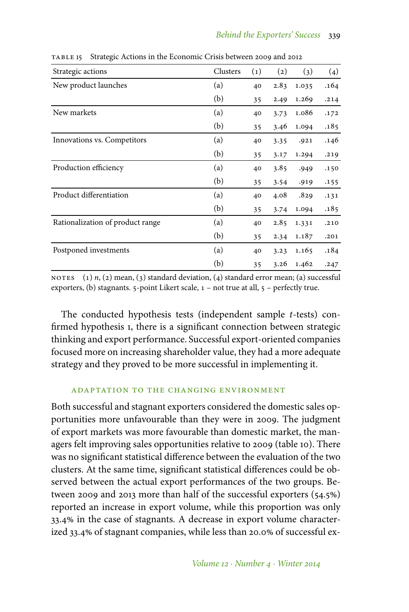| Strategic actions                | Clusters | $\left( 1\right)$ | $\left( 2\right)$ | (3)   | (4)  |
|----------------------------------|----------|-------------------|-------------------|-------|------|
| New product launches             | (a)      | 40                | 2.83              | 1.035 | .164 |
|                                  | (b)      | 35                | 2.49              | 1.269 | .214 |
| New markets                      | (a)      | 40                | 3.73              | 1.086 | .172 |
|                                  | (b)      | 35                | 3.46              | 1.094 | .185 |
| Innovations vs. Competitors      | (a)      | 40                | 3.35              | .921  | .146 |
|                                  | (b)      | 35                | 3.17              | 1.294 | .219 |
| Production efficiency            | (a)      | 40                | 3.85              | .949  | .150 |
|                                  | (b)      | 35                | 3.54              | .919  | .155 |
| Product differentiation          | (a)      | 40                | 4.08              | .829  | .131 |
|                                  | (b)      | 35                | 3.74              | 1.094 | .185 |
| Rationalization of product range | (a)      | 40                | 2.85              | 1.331 | .210 |
|                                  | (b)      | 35                | 2.34              | 1.187 | .201 |
| Postponed investments            | (a)      | 40                | 3.23              | 1.165 | .184 |
|                                  | (b)      | 35                | 3.26              | 1.462 | .247 |

table 15 Strategic Actions in the Economic Crisis between 2009 and 2012

NOTES (1) *n*, (2) mean, (3) standard deviation, (4) standard error mean; (a) successful exporters, (b) stagnants.  $5$ -point Likert scale,  $1$  – not true at all,  $5$  – perfectly true.

The conducted hypothesis tests (independent sample *t*-tests) confirmed hypothesis 1, there is a significant connection between strategic thinking and export performance. Successful export-oriented companies focused more on increasing shareholder value, they had a more adequate strategy and they proved to be more successful in implementing it.

# adaptation to the changing environment

Both successful and stagnant exporters considered the domestic sales opportunities more unfavourable than they were in 2009. The judgment of export markets was more favourable than domestic market, the managers felt improving sales opportunities relative to 2009 (table 10). There was no significant statistical difference between the evaluation of the two clusters. At the same time, significant statistical differences could be observed between the actual export performances of the two groups. Between 2009 and 2013 more than half of the successful exporters (54.5%) reported an increase in export volume, while this proportion was only 33.4% in the case of stagnants. A decrease in export volume characterized 33.4% of stagnant companies, while less than 20.0% of successful ex-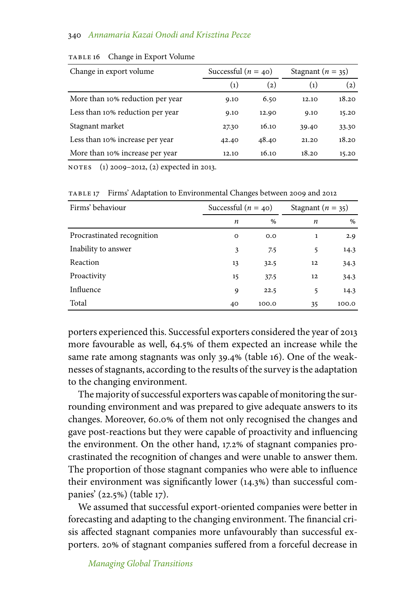| Change in export volume          | Successful ( $n = 40$ ) |       | Stagnant $(n = 35)$ |       |  |
|----------------------------------|-------------------------|-------|---------------------|-------|--|
|                                  | $\left( 1 \right)$      | (2)   | $\left( 1\right)$   | (2)   |  |
| More than 10% reduction per year | 9.10                    | 6.50  | 12.10               | 18.20 |  |
| Less than 10% reduction per year | 9.10                    | 12.90 | 9.10                | 15.20 |  |
| Stagnant market                  | 27.30                   | 16.10 | 39.40               | 33.30 |  |
| Less than 10% increase per year  | 42.40                   | 48.40 | 21.20               | 18.20 |  |
| More than 10% increase per year  | 12.10                   | 16.10 | 18.20               | 15.20 |  |

TABLE 16 Change in Export Volume

notes (1) 2009–2012, (2) expected in 2013.

table 17 Firms' Adaptation to Environmental Changes between 2009 and 2012

| Firms' behaviour           | Successful ( $n = 40$ ) |       |    | Stagnant $(n = 35)$ |  |
|----------------------------|-------------------------|-------|----|---------------------|--|
|                            | n                       | %     | n  | $\%$                |  |
| Procrastinated recognition | $\circ$                 | 0.0   | 1  | 2.9                 |  |
| Inability to answer        | 3                       | 7.5   | 5  | 14.3                |  |
| Reaction                   | 13                      | 32.5  | 12 | 34.3                |  |
| Proactivity                | 15                      | 37.5  | 12 | 34.3                |  |
| Influence                  | 9                       | 22.5  | 5  | 14.3                |  |
| Total                      | 40                      | 100.0 | 35 | 100.0               |  |

porters experienced this. Successful exporters considered the year of 2013 more favourable as well, 64.5% of them expected an increase while the same rate among stagnants was only 39.4% (table 16). One of the weaknesses of stagnants, according to the results of the survey is the adaptation to the changing environment.

The majority of successful exporters was capable of monitoring the surrounding environment and was prepared to give adequate answers to its changes. Moreover, 60.0% of them not only recognised the changes and gave post-reactions but they were capable of proactivity and influencing the environment. On the other hand, 17.2% of stagnant companies procrastinated the recognition of changes and were unable to answer them. The proportion of those stagnant companies who were able to influence their environment was significantly lower  $(14.3%)$  than successful companies' (22.5%) (table 17).

We assumed that successful export-oriented companies were better in forecasting and adapting to the changing environment. The financial crisis affected stagnant companies more unfavourably than successful exporters. 20% of stagnant companies suffered from a forceful decrease in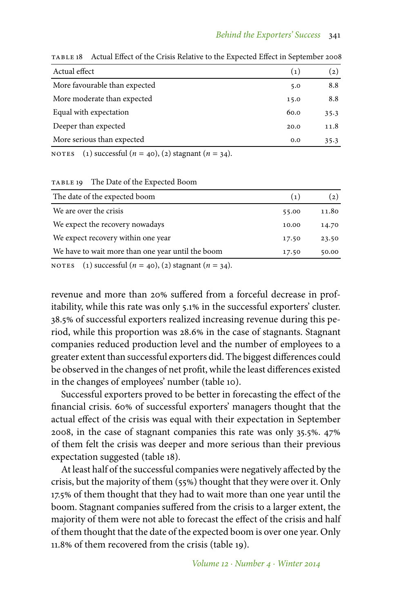| Actual effect                 | (1)  | (2)  |
|-------------------------------|------|------|
| More favourable than expected | 5.0  | 8.8  |
| More moderate than expected   | 15.0 | 8.8  |
| Equal with expectation        | 60.0 | 35.3 |
| Deeper than expected          | 20.0 | 11.8 |
| More serious than expected    | 0.0  | 35.3 |
|                               |      |      |

table 18 Actual Effect of the Crisis Relative to the Expected Effect in September 2008

NOTES (1) successful  $(n = 40)$ , (2) stagnant  $(n = 34)$ .

#### TABLE 19 The Date of the Expected Boom

| The date of the expected boom                                                                                                    | (1)   | (2)   |
|----------------------------------------------------------------------------------------------------------------------------------|-------|-------|
| We are over the crisis                                                                                                           | 55.00 | 11.80 |
| We expect the recovery nowadays                                                                                                  | 10.00 | 14.70 |
| We expect recovery within one year                                                                                               | 17.50 | 23.50 |
| We have to wait more than one year until the boom                                                                                | 17.50 | 50.00 |
| $\alpha$ , and $\alpha$ , and $\alpha$ , and $\alpha$ , and $\alpha$ , and $\alpha$ , and $\alpha$ , and $\alpha$ , and $\alpha$ |       |       |

NOTES (1) successful  $(n = 40)$ , (2) stagnant  $(n = 34)$ .

revenue and more than 20% suffered from a forceful decrease in profitability, while this rate was only 5.1% in the successful exporters' cluster. 38.5 of successful exporters realized increasing revenue during this period, while this proportion was 28.6% in the case of stagnants. Stagnant companies reduced production level and the number of employees to a greater extent than successful exporters did. The biggest differences could be observed in the changes of net profit, while the least differences existed in the changes of employees' number (table 10).

Successful exporters proved to be better in forecasting the effect of the financial crisis. 60% of successful exporters' managers thought that the actual effect of the crisis was equal with their expectation in September 2008, in the case of stagnant companies this rate was only 35.5%. 47% of them felt the crisis was deeper and more serious than their previous expectation suggested (table 18).

At least half of the successful companies were negatively affected by the crisis, but the majority of them (55%) thought that they were over it. Only 17.5 of them thought that they had to wait more than one year until the boom. Stagnant companies suffered from the crisis to a larger extent, the majority of them were not able to forecast the effect of the crisis and half of them thought that the date of the expected boom is over one year. Only 11.8 of them recovered from the crisis (table 19).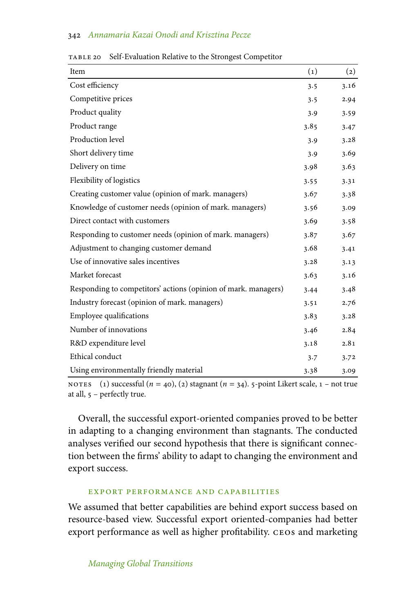| Item                                                           | (1)  | $\left( 2\right)$ |
|----------------------------------------------------------------|------|-------------------|
| Cost efficiency                                                | 3.5  | 3.16              |
| Competitive prices                                             | 3.5  | 2.94              |
| Product quality                                                | 3.9  | 3.59              |
| Product range                                                  | 3.85 | 3.47              |
| Production level                                               | 3.9  | 3.28              |
| Short delivery time                                            | 3.9  | 3.69              |
| Delivery on time                                               | 3.98 | 3.63              |
| Flexibility of logistics                                       | 3.55 | 3.31              |
| Creating customer value (opinion of mark. managers)            | 3.67 | 3.38              |
| Knowledge of customer needs (opinion of mark. managers)        | 3.56 | 3.09              |
| Direct contact with customers                                  | 3.69 | 3.58              |
| Responding to customer needs (opinion of mark. managers)       | 3.87 | 3.67              |
| Adjustment to changing customer demand                         | 3.68 | 3.41              |
| Use of innovative sales incentives                             | 3.28 | 3.13              |
| Market forecast                                                | 3.63 | 3.16              |
| Responding to competitors' actions (opinion of mark. managers) | 3.44 | 3.48              |
| Industry forecast (opinion of mark. managers)                  | 3.51 | 2.76              |
| Employee qualifications                                        | 3.83 | 3.28              |
| Number of innovations                                          | 3.46 | 2.84              |
| R&D expenditure level                                          | 3.18 | 2.81              |
| Ethical conduct                                                | 3.7  | 3.72              |
| Using environmentally friendly material                        | 3.38 | 3.09              |

table 20 Self-Evaluation Relative to the Strongest Competitor

NOTES (1) successful  $(n = 40)$ , (2) stagnant  $(n = 34)$ . 5-point Likert scale,  $1 - not$  true at all, 5 - perfectly true.

Overall, the successful export-oriented companies proved to be better in adapting to a changing environment than stagnants. The conducted analyses verified our second hypothesis that there is significant connection between the firms' ability to adapt to changing the environment and export success.

#### export performance and capabilities

We assumed that better capabilities are behind export success based on resource-based view. Successful export oriented-companies had better export performance as well as higher profitability. ceos and marketing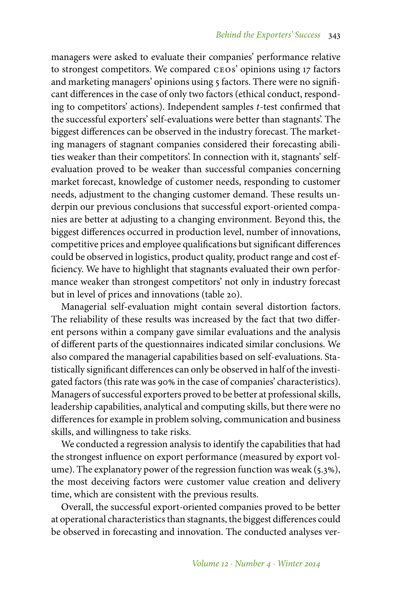managers were asked to evaluate their companies' performance relative to strongest competitors. We compared ceos' opinions using 17 factors and marketing managers' opinions using 5 factors. There were no significant differences in the case of only two factors (ethical conduct, responding to competitors' actions). Independent samples *t*-test confirmed that the successful exporters' self-evaluations were better than stagnants'. The biggest differences can be observed in the industry forecast. The marketing managers of stagnant companies considered their forecasting abilities weaker than their competitors'. In connection with it, stagnants' selfevaluation proved to be weaker than successful companies concerning market forecast, knowledge of customer needs, responding to customer needs, adjustment to the changing customer demand. These results underpin our previous conclusions that successful export-oriented companies are better at adjusting to a changing environment. Beyond this, the biggest differences occurred in production level, number of innovations, competitive prices and employee qualifications but significant differences could be observed in logistics, product quality, product range and cost efficiency. We have to highlight that stagnants evaluated their own performance weaker than strongest competitors' not only in industry forecast but in level of prices and innovations (table 20).

Managerial self-evaluation might contain several distortion factors. The reliability of these results was increased by the fact that two different persons within a company gave similar evaluations and the analysis of different parts of the questionnaires indicated similar conclusions. We also compared the managerial capabilities based on self-evaluations. Statistically significant differences can only be observed in half of the investigated factors (this rate was 90% in the case of companies' characteristics). Managers of successful exporters proved to be better at professional skills, leadership capabilities, analytical and computing skills, but there were no differences for example in problem solving, communication and business skills, and willingness to take risks.

We conducted a regression analysis to identify the capabilities that had the strongest influence on export performance (measured by export volume). The explanatory power of the regression function was weak  $(5.3\%)$ , the most deceiving factors were customer value creation and delivery time, which are consistent with the previous results.

Overall, the successful export-oriented companies proved to be better at operational characteristics than stagnants, the biggest differences could be observed in forecasting and innovation. The conducted analyses ver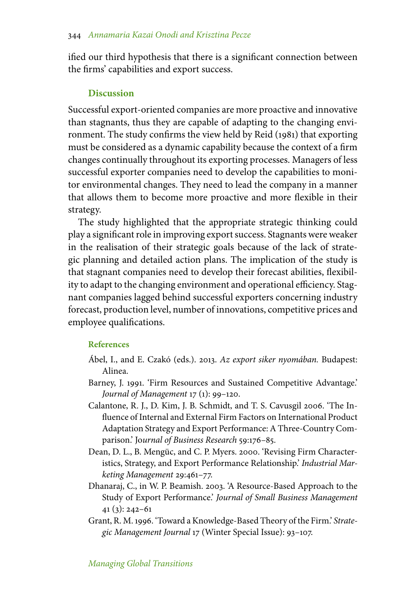ified our third hypothesis that there is a significant connection between the firms' capabilities and export success.

# **Discussion**

Successful export-oriented companies are more proactive and innovative than stagnants, thus they are capable of adapting to the changing environment. The study confirms the view held by Reid (1981) that exporting must be considered as a dynamic capability because the context of a firm changes continually throughout its exporting processes. Managers of less successful exporter companies need to develop the capabilities to monitor environmental changes. They need to lead the company in a manner that allows them to become more proactive and more flexible in their strategy.

The study highlighted that the appropriate strategic thinking could play a significant role in improving export success. Stagnants were weaker in the realisation of their strategic goals because of the lack of strategic planning and detailed action plans. The implication of the study is that stagnant companies need to develop their forecast abilities, flexibility to adapt to the changing environment and operational efficiency. Stagnant companies lagged behind successful exporters concerning industry forecast, production level, number of innovations, competitive prices and employee qualifications.

# **References**

- Ábel, I., and E. Czakó (eds.). 2013. *Az export siker nyomában.* Budapest: Alinea.
- Barney, J. 1991. 'Firm Resources and Sustained Competitive Advantage.' *Journal of Management* 17 (1): 99–120.
- Calantone, R. J., D. Kim, J. B. Schmidt, and T. S. Cavusgil 2006. 'The Influence of Internal and External Firm Factors on International Product Adaptation Strategy and Export Performance: A Three-Country Comparison.' Jo*urnal of Business Research* 59:176–85.
- Dean, D. L., B. Mengüc, and C. P. Myers. 2000. 'Revising Firm Characteristics, Strategy, and Export Performance Relationship.' *Industrial Marketing Management* 29:461–77.
- Dhanaraj, C., in W. P. Beamish. 2003. 'A Resource-Based Approach to the Study of Export Performance.' *Journal of Small Business Management* 41 (3): 242–61
- Grant, R. M. 1996. 'Toward a Knowledge-Based Theory of the Firm.' *Strategic Management Journal* 17 (Winter Special Issue): 93–107.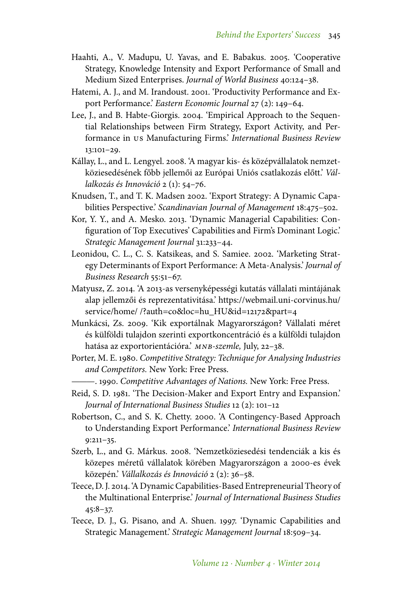- Haahti, A., V. Madupu, U. Yavas, and E. Babakus. 2005. 'Cooperative Strategy, Knowledge Intensity and Export Performance of Small and Medium Sized Enterprises. *Journal of World Business* 40:124–38.
- Hatemi, A. J., and M. Irandoust. 2001. 'Productivity Performance and Export Performance.' *Eastern Economic Journal* 27 (2): 149–64.
- Lee, J., and B. Habte-Giorgis. 2004. 'Empirical Approach to the Sequential Relationships between Firm Strategy, Export Activity, and Performance in us Manufacturing Firms.' *International Business Review* 13:101–29.
- Kállay, L., and L. Lengyel. 2008. 'A magyar kis- és középvállalatok nemzetköziesedésének főbb jellemői az Európai Uniós csatlakozás előtt.' *Vállalkozás és Innováció* 2 (1): 54–76.
- Knudsen, T., and T. K. Madsen 2002. 'Export Strategy: A Dynamic Capabilities Perspective.' *Scandinavian Journal of Management* 18:475–502.
- Kor, Y. Y., and A. Mesko. 2013. 'Dynamic Managerial Capabilities: Configuration of Top Executives' Capabilities and Firm's Dominant Logic.' *Strategic Management Journal* 31:233–44.
- Leonidou, C. L., C. S. Katsikeas, and S. Samiee. 2002. 'Marketing Strategy Determinants of Export Performance: A Meta-Analysis.' *Journal of Business Research* 55:51–67.
- Matyusz, Z. 2014. 'A 2013-as versenyképességi kutatás vállalati mintájának alap jellemzői és reprezentativitása.' https://webmail.uni-corvinus.hu/ service/home/ /?auth=co&loc=hu\_HU&id=12172&part=4
- Munkácsi, Zs. 2009. 'Kik exportálnak Magyarországon? Vállalati méret és külföldi tulajdon szerinti exportkoncentráció és a külföldi tulajdon hatása az exportorientációra.' *mnb-szemle,* July, 22–38.
- Porter, M. E. 1980. *Competitive Strategy: Technique for Analysing Industries and Competitors.* New York: Free Press.
- ———. 1990. *Competitive Advantages of Nations.* New York: Free Press.
- Reid, S. D. 1981. 'The Decision-Maker and Export Entry and Expansion.' *Journal of International Business Studies* 12 (2): 101–12
- Robertson, C., and S. K. Chetty. 2000. 'A Contingency-Based Approach to Understanding Export Performance.' *International Business Review* 9:211–35.
- Szerb, L., and G. Márkus. 2008. 'Nemzetköziesedési tendenciák a kis és közepes méretű vállalatok körében Magyarországon a 2000-es évek közepén.' *Vállalkozás és Innováció* 2 (2): 36–58.
- Teece, D. J. 2014. 'A Dynamic Capabilities-Based Entrepreneurial Theory of the Multinational Enterprise.' *Journal of International Business Studies* 45:8–37.
- Teece, D. J., G. Pisano, and A. Shuen. 1997. 'Dynamic Capabilities and Strategic Management.' *Strategic Management Journal* 18:509–34.